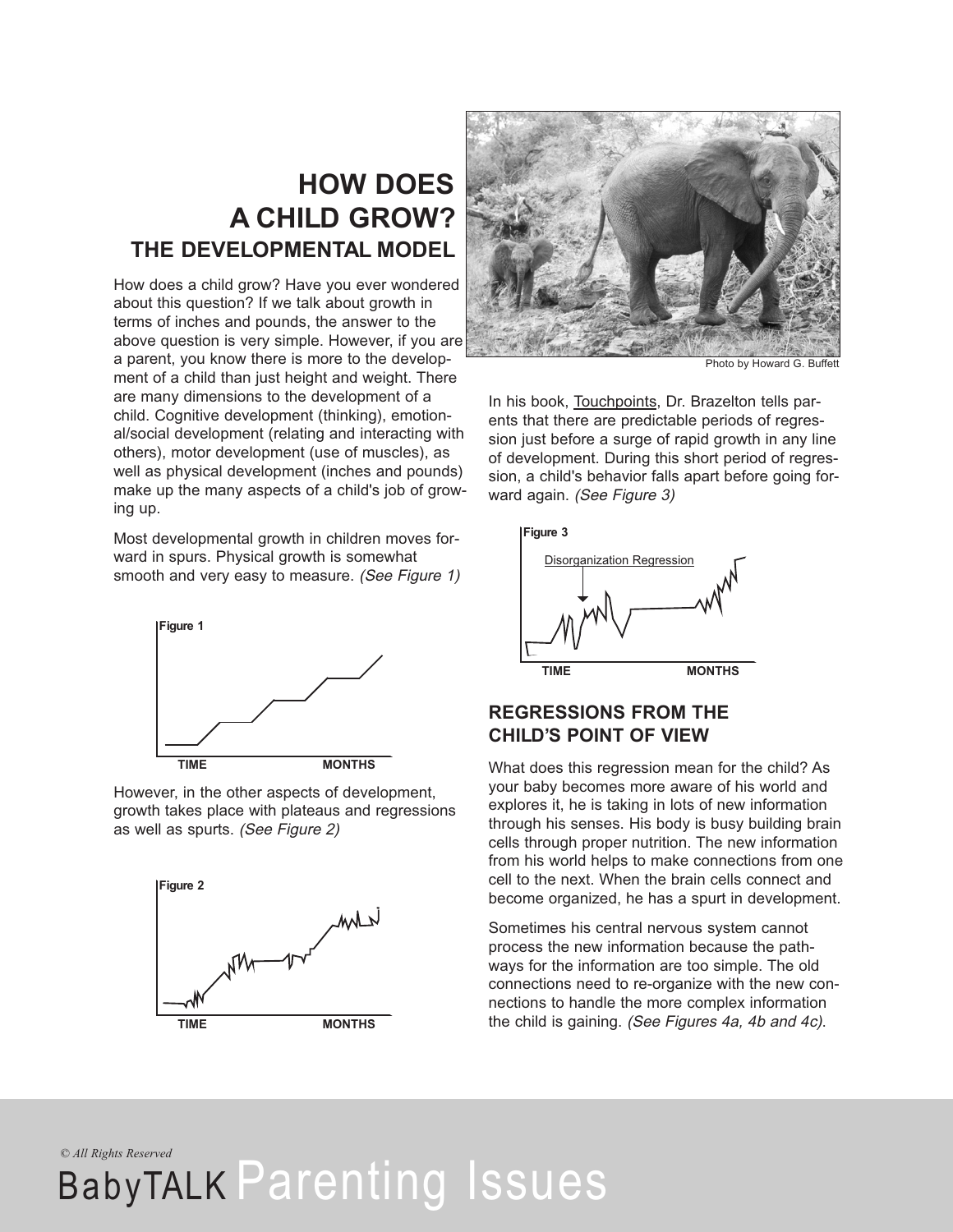### **HOW DOES A CHILD GROW? THE DEVELOPMENTAL MODEL**

How does a child grow? Have you ever wondered about this question? If we talk about growth in terms of inches and pounds, the answer to the above question is very simple. However, if you are a parent, you know there is more to the development of a child than just height and weight. There are many dimensions to the development of a child. Cognitive development (thinking), emotional/social development (relating and interacting with others), motor development (use of muscles), as well as physical development (inches and pounds) make up the many aspects of a child's job of growing up.

Most developmental growth in children moves forward in spurs. Physical growth is somewhat smooth and very easy to measure. (See Figure 1)



However, in the other aspects of development, growth takes place with plateaus and regressions as well as spurts. (See Figure 2)





Photo by Howard G. Buffett

In his book, Touchpoints, Dr. Brazelton tells parents that there are predictable periods of regression just before a surge of rapid growth in any line of development. During this short period of regression, a child's behavior falls apart before going forward again. (See Figure 3)



#### **REGRESSIONS FROM THE CHILD'S POINT OF VIEW**

What does this regression mean for the child? As your baby becomes more aware of his world and explores it, he is taking in lots of new information through his senses. His body is busy building brain cells through proper nutrition. The new information from his world helps to make connections from one cell to the next. When the brain cells connect and become organized, he has a spurt in development.

Sometimes his central nervous system cannot process the new information because the pathways for the information are too simple. The old connections need to re-organize with the new connections to handle the more complex information the child is gaining. (See Figures 4a, 4b and 4c).

*© All Rights Reserved*

## BabyTALK Parenting Issues